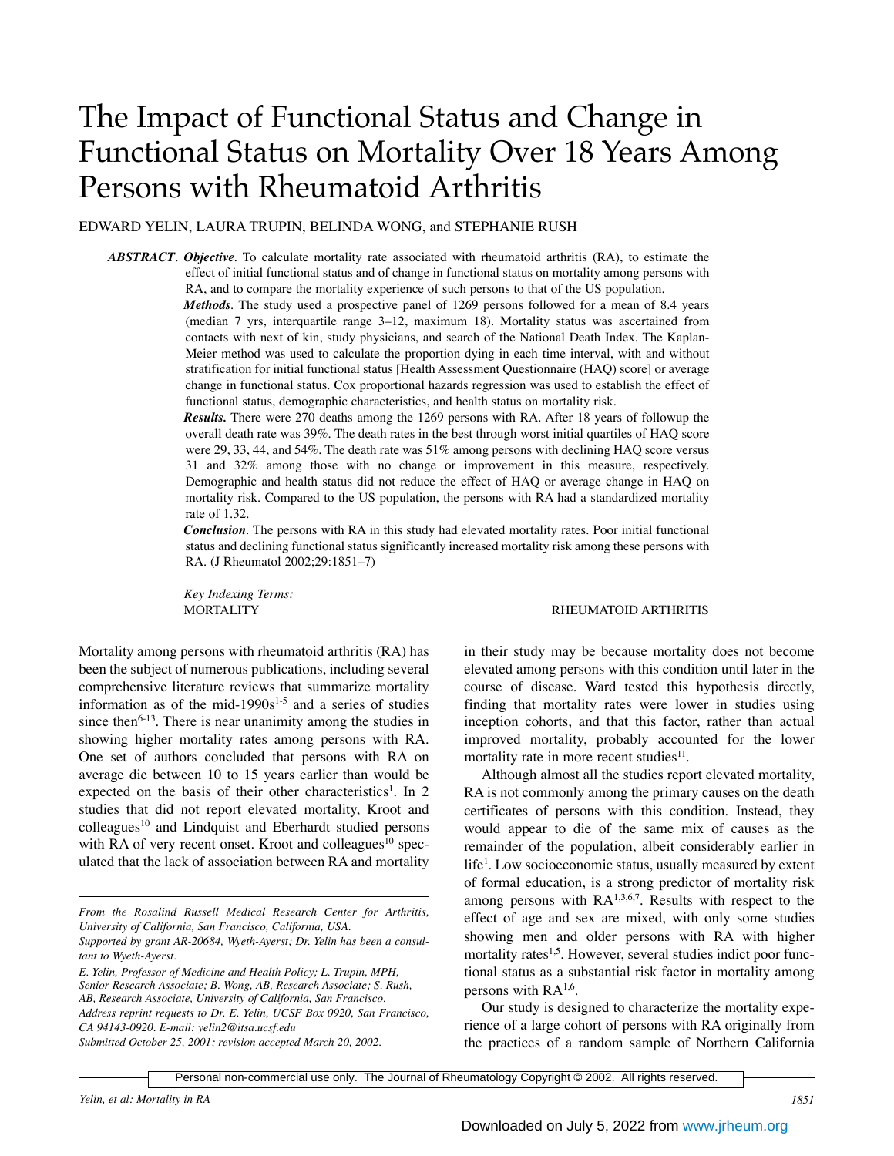# The Impact of Functional Status and Change in Functional Status on Mortality Over 18 Years Among Persons with Rheumatoid Arthritis

EDWARD YELIN, LAURA TRUPIN, BELINDA WONG, and STEPHANIE RUSH

*ABSTRACT*. *Objective*. To calculate mortality rate associated with rheumatoid arthritis (RA), to estimate the effect of initial functional status and of change in functional status on mortality among persons with RA, and to compare the mortality experience of such persons to that of the US population.

> *Methods.* The study used a prospective panel of 1269 persons followed for a mean of 8.4 years (median 7 yrs, interquartile range 3–12, maximum 18). Mortality status was ascertained from contacts with next of kin, study physicians, and search of the National Death Index. The Kaplan-Meier method was used to calculate the proportion dying in each time interval, with and without stratification for initial functional status [Health Assessment Questionnaire (HAQ) score] or average change in functional status. Cox proportional hazards regression was used to establish the effect of functional status, demographic characteristics, and health status on mortality risk.

> *Results.* There were 270 deaths among the 1269 persons with RA. After 18 years of followup the overall death rate was 39%. The death rates in the best through worst initial quartiles of HAQ score were 29, 33, 44, and 54%. The death rate was 51% among persons with declining HAQ score versus 31 and 32% among those with no change or improvement in this measure, respectively. Demographic and health status did not reduce the effect of HAQ or average change in HAQ on mortality risk. Compared to the US population, the persons with RA had a standardized mortality rate of 1.32.

> *Conclusion*. The persons with RA in this study had elevated mortality rates. Poor initial functional status and declining functional status significantly increased mortality risk among these persons with RA. (J Rheumatol 2002;29:1851–7)

*Key Indexing Terms:*

Mortality among persons with rheumatoid arthritis (RA) has been the subject of numerous publications, including several comprehensive literature reviews that summarize mortality information as of the mid-1990 $s<sup>1-5</sup>$  and a series of studies since then<sup>6-13</sup>. There is near unanimity among the studies in showing higher mortality rates among persons with RA. One set of authors concluded that persons with RA on average die between 10 to 15 years earlier than would be expected on the basis of their other characteristics<sup>1</sup>. In 2 studies that did not report elevated mortality, Kroot and colleagues<sup>10</sup> and Lindquist and Eberhardt studied persons with RA of very recent onset. Kroot and colleagues<sup>10</sup> speculated that the lack of association between RA and mortality

*E. Yelin, Professor of Medicine and Health Policy; L. Trupin, MPH, Senior Research Associate; B. Wong, AB, Research Associate; S. Rush, AB, Research Associate, University of California, San Francisco. Address reprint requests to Dr. E. Yelin, UCSF Box 0920, San Francisco, CA 94143-0920. E-mail: yelin2@itsa.ucsf.edu*

*Submitted October 25, 2001; revision accepted March 20, 2002.*

## MORTALITY RHEUMATOID ARTHRITIS

in their study may be because mortality does not become elevated among persons with this condition until later in the course of disease. Ward tested this hypothesis directly, finding that mortality rates were lower in studies using inception cohorts, and that this factor, rather than actual improved mortality, probably accounted for the lower mortality rate in more recent studies $11$ .

Although almost all the studies report elevated mortality, RA is not commonly among the primary causes on the death certificates of persons with this condition. Instead, they would appear to die of the same mix of causes as the remainder of the population, albeit considerably earlier in life<sup>1</sup>. Low socioeconomic status, usually measured by extent of formal education, is a strong predictor of mortality risk among persons with  $RA^{1,3,6,7}$ . Results with respect to the effect of age and sex are mixed, with only some studies showing men and older persons with RA with higher mortality rates<sup>1,5</sup>. However, several studies indict poor functional status as a substantial risk factor in mortality among persons with  $RA^{1,6}$ .

Our study is designed to characterize the mortality experience of a large cohort of persons with RA originally from the practices of a random sample of Northern California

Personal non-commercial use only. The Journal of Rheumatology Copyright © 2002. All rights reserved.

*From the Rosalind Russell Medical Research Center for Arthritis, University of California, San Francisco, California, USA.* 

*Supported by grant AR-20684, Wyeth-Ayerst; Dr. Yelin has been a consultant to Wyeth-Ayerst.*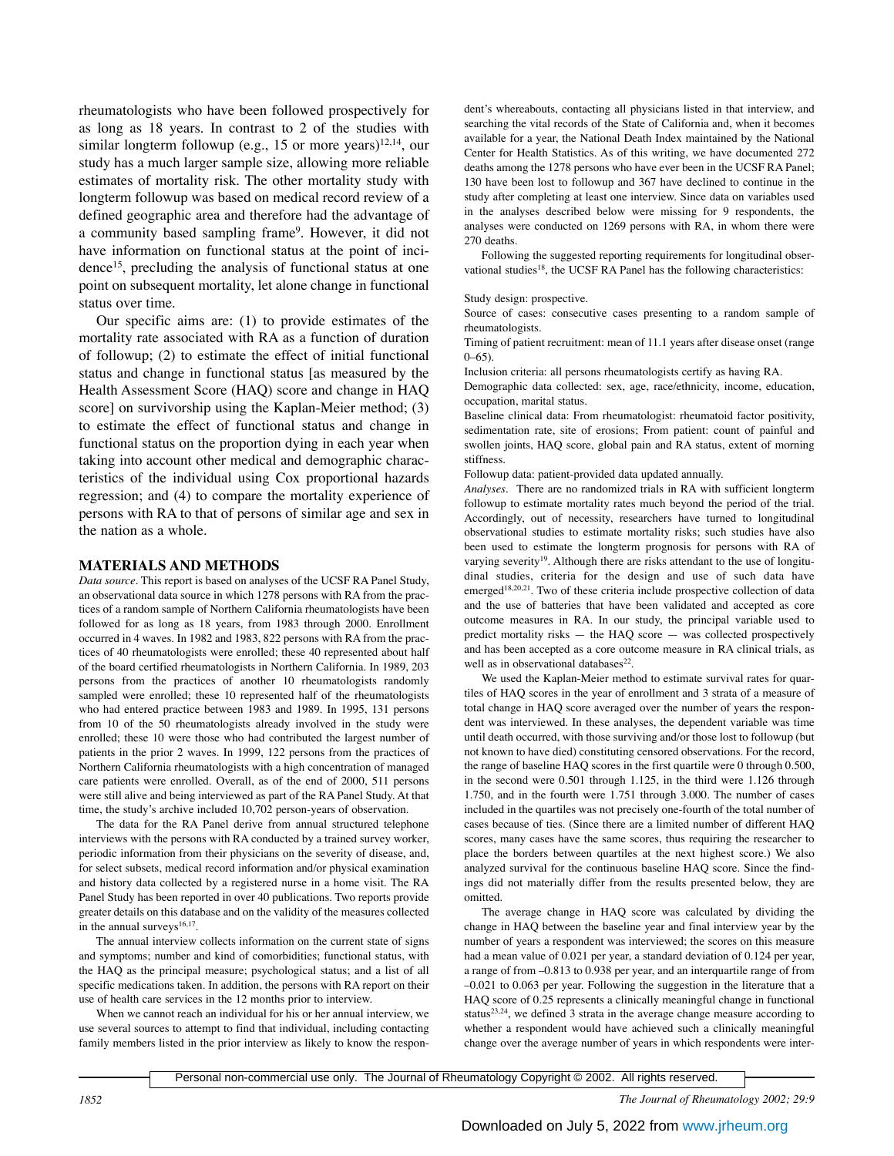rheumatologists who have been followed prospectively for as long as 18 years. In contrast to 2 of the studies with similar longterm followup (e.g., 15 or more years)<sup>12,14</sup>, our study has a much larger sample size, allowing more reliable estimates of mortality risk. The other mortality study with longterm followup was based on medical record review of a defined geographic area and therefore had the advantage of a community based sampling frame<sup>9</sup>. However, it did not have information on functional status at the point of incidence15, precluding the analysis of functional status at one point on subsequent mortality, let alone change in functional status over time.

Our specific aims are: (1) to provide estimates of the mortality rate associated with RA as a function of duration of followup; (2) to estimate the effect of initial functional status and change in functional status [as measured by the Health Assessment Score (HAQ) score and change in HAQ score] on survivorship using the Kaplan-Meier method; (3) to estimate the effect of functional status and change in functional status on the proportion dying in each year when taking into account other medical and demographic characteristics of the individual using Cox proportional hazards regression; and (4) to compare the mortality experience of persons with RA to that of persons of similar age and sex in the nation as a whole.

### **MATERIALS AND METHODS**

*Data source*. This report is based on analyses of the UCSF RA Panel Study, an observational data source in which 1278 persons with RA from the practices of a random sample of Northern California rheumatologists have been followed for as long as 18 years, from 1983 through 2000. Enrollment occurred in 4 waves. In 1982 and 1983, 822 persons with RA from the practices of 40 rheumatologists were enrolled; these 40 represented about half of the board certified rheumatologists in Northern California. In 1989, 203 persons from the practices of another 10 rheumatologists randomly sampled were enrolled; these 10 represented half of the rheumatologists who had entered practice between 1983 and 1989. In 1995, 131 persons from 10 of the 50 rheumatologists already involved in the study were enrolled; these 10 were those who had contributed the largest number of patients in the prior 2 waves. In 1999, 122 persons from the practices of Northern California rheumatologists with a high concentration of managed care patients were enrolled. Overall, as of the end of 2000, 511 persons were still alive and being interviewed as part of the RA Panel Study. At that time, the study's archive included 10,702 person-years of observation.

The data for the RA Panel derive from annual structured telephone interviews with the persons with RA conducted by a trained survey worker, periodic information from their physicians on the severity of disease, and, for select subsets, medical record information and/or physical examination and history data collected by a registered nurse in a home visit. The RA Panel Study has been reported in over 40 publications. Two reports provide greater details on this database and on the validity of the measures collected in the annual surveys $16,17$ .

The annual interview collects information on the current state of signs and symptoms; number and kind of comorbidities; functional status, with the HAQ as the principal measure; psychological status; and a list of all specific medications taken. In addition, the persons with RA report on their use of health care services in the 12 months prior to interview.

When we cannot reach an individual for his or her annual interview, we use several sources to attempt to find that individual, including contacting family members listed in the prior interview as likely to know the respondent's whereabouts, contacting all physicians listed in that interview, and searching the vital records of the State of California and, when it becomes available for a year, the National Death Index maintained by the National Center for Health Statistics. As of this writing, we have documented 272 deaths among the 1278 persons who have ever been in the UCSF RA Panel; 130 have been lost to followup and 367 have declined to continue in the study after completing at least one interview. Since data on variables used in the analyses described below were missing for 9 respondents, the analyses were conducted on 1269 persons with RA, in whom there were 270 deaths.

Following the suggested reporting requirements for longitudinal observational studies<sup>18</sup>, the UCSF RA Panel has the following characteristics:

#### Study design: prospective.

Source of cases: consecutive cases presenting to a random sample of rheumatologists.

Timing of patient recruitment: mean of 11.1 years after disease onset (range  $0-65$ ).

Inclusion criteria: all persons rheumatologists certify as having RA.

Demographic data collected: sex, age, race/ethnicity, income, education, occupation, marital status.

Baseline clinical data: From rheumatologist: rheumatoid factor positivity, sedimentation rate, site of erosions; From patient: count of painful and swollen joints, HAQ score, global pain and RA status, extent of morning stiffness.

Followup data: patient-provided data updated annually.

*Analyses.* There are no randomized trials in RA with sufficient longterm followup to estimate mortality rates much beyond the period of the trial. Accordingly, out of necessity, researchers have turned to longitudinal observational studies to estimate mortality risks; such studies have also been used to estimate the longterm prognosis for persons with RA of varying severity<sup>19</sup>. Although there are risks attendant to the use of longitudinal studies, criteria for the design and use of such data have emerged<sup>18,20,21</sup>. Two of these criteria include prospective collection of data and the use of batteries that have been validated and accepted as core outcome measures in RA. In our study, the principal variable used to predict mortality risks — the HAQ score — was collected prospectively and has been accepted as a core outcome measure in RA clinical trials, as well as in observational databases<sup>22</sup>.

We used the Kaplan-Meier method to estimate survival rates for quartiles of HAQ scores in the year of enrollment and 3 strata of a measure of total change in HAQ score averaged over the number of years the respondent was interviewed. In these analyses, the dependent variable was time until death occurred, with those surviving and/or those lost to followup (but not known to have died) constituting censored observations. For the record, the range of baseline HAQ scores in the first quartile were 0 through 0.500, in the second were 0.501 through 1.125, in the third were 1.126 through 1.750, and in the fourth were 1.751 through 3.000. The number of cases included in the quartiles was not precisely one-fourth of the total number of cases because of ties. (Since there are a limited number of different HAQ scores, many cases have the same scores, thus requiring the researcher to place the borders between quartiles at the next highest score.) We also analyzed survival for the continuous baseline HAQ score. Since the findings did not materially differ from the results presented below, they are omitted.

The average change in HAQ score was calculated by dividing the change in HAQ between the baseline year and final interview year by the number of years a respondent was interviewed; the scores on this measure had a mean value of 0.021 per year, a standard deviation of 0.124 per year, a range of from –0.813 to 0.938 per year, and an interquartile range of from –0.021 to 0.063 per year. Following the suggestion in the literature that a HAQ score of 0.25 represents a clinically meaningful change in functional status $23,24$ , we defined 3 strata in the average change measure according to whether a respondent would have achieved such a clinically meaningful change over the average number of years in which respondents were inter-

Personal non-commercial use only. The Journal of Rheumatology Copyright © 2002. All rights reserved.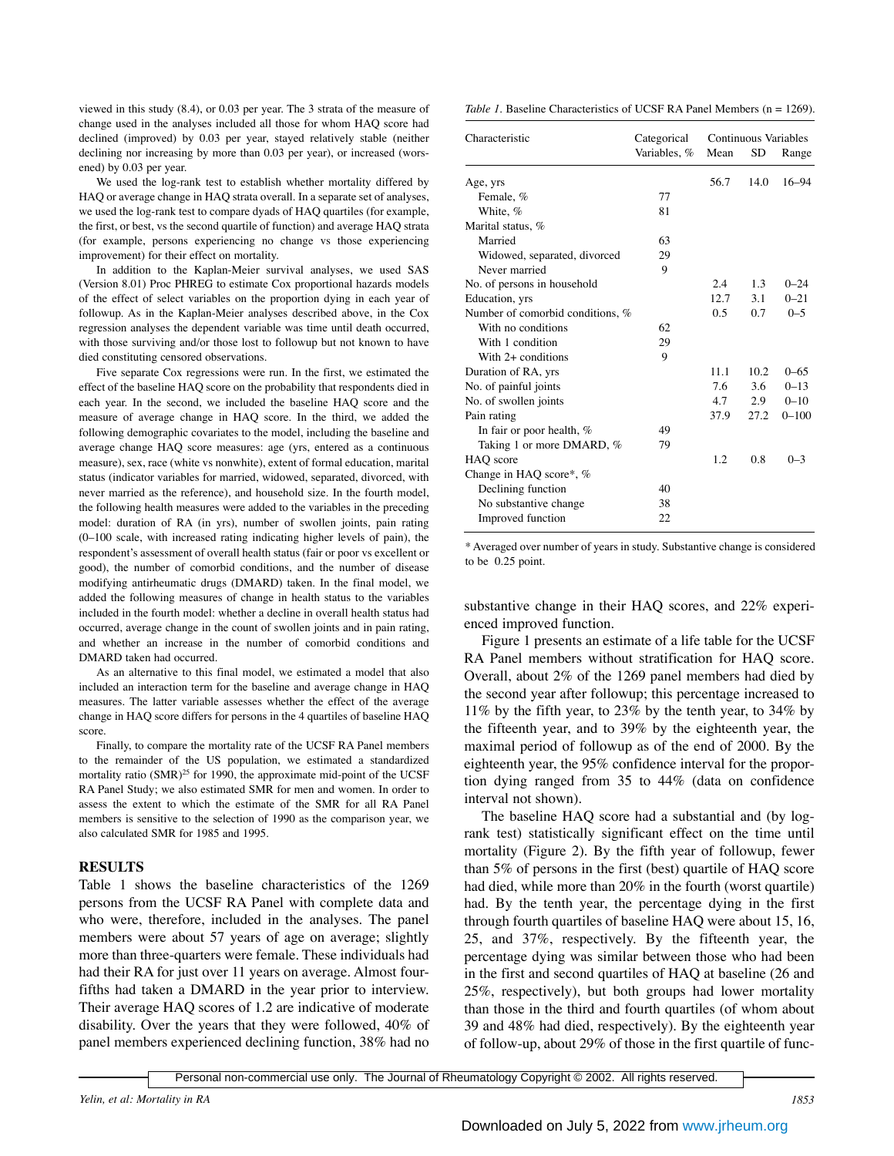viewed in this study (8.4), or 0.03 per year. The 3 strata of the measure of change used in the analyses included all those for whom HAQ score had declined (improved) by 0.03 per year, stayed relatively stable (neither declining nor increasing by more than 0.03 per year), or increased (worsened) by 0.03 per year.

We used the log-rank test to establish whether mortality differed by HAQ or average change in HAQ strata overall. In a separate set of analyses, we used the log-rank test to compare dyads of HAQ quartiles (for example, the first, or best, vs the second quartile of function) and average HAQ strata (for example, persons experiencing no change vs those experiencing improvement) for their effect on mortality.

In addition to the Kaplan-Meier survival analyses, we used SAS (Version 8.01) Proc PHREG to estimate Cox proportional hazards models of the effect of select variables on the proportion dying in each year of followup. As in the Kaplan-Meier analyses described above, in the Cox regression analyses the dependent variable was time until death occurred, with those surviving and/or those lost to followup but not known to have died constituting censored observations.

Five separate Cox regressions were run. In the first, we estimated the effect of the baseline HAQ score on the probability that respondents died in each year. In the second, we included the baseline HAQ score and the measure of average change in HAQ score. In the third, we added the following demographic covariates to the model, including the baseline and average change HAQ score measures: age (yrs, entered as a continuous measure), sex, race (white vs nonwhite), extent of formal education, marital status (indicator variables for married, widowed, separated, divorced, with never married as the reference), and household size. In the fourth model, the following health measures were added to the variables in the preceding model: duration of RA (in yrs), number of swollen joints, pain rating (0–100 scale, with increased rating indicating higher levels of pain), the respondent's assessment of overall health status (fair or poor vs excellent or good), the number of comorbid conditions, and the number of disease modifying antirheumatic drugs (DMARD) taken. In the final model, we added the following measures of change in health status to the variables included in the fourth model: whether a decline in overall health status had occurred, average change in the count of swollen joints and in pain rating, and whether an increase in the number of comorbid conditions and DMARD taken had occurred.

As an alternative to this final model, we estimated a model that also included an interaction term for the baseline and average change in HAQ measures. The latter variable assesses whether the effect of the average change in HAQ score differs for persons in the 4 quartiles of baseline HAQ score.

Finally, to compare the mortality rate of the UCSF RA Panel members to the remainder of the US population, we estimated a standardized mortality ratio  $(SMR)^{25}$  for 1990, the approximate mid-point of the UCSF RA Panel Study; we also estimated SMR for men and women. In order to assess the extent to which the estimate of the SMR for all RA Panel members is sensitive to the selection of 1990 as the comparison year, we also calculated SMR for 1985 and 1995.

# **RESULTS**

Table 1 shows the baseline characteristics of the 1269 persons from the UCSF RA Panel with complete data and who were, therefore, included in the analyses. The panel members were about 57 years of age on average; slightly more than three-quarters were female. These individuals had had their RA for just over 11 years on average. Almost fourfifths had taken a DMARD in the year prior to interview. Their average HAQ scores of 1.2 are indicative of moderate disability. Over the years that they were followed, 40% of panel members experienced declining function, 38% had no

*Table 1.* Baseline Characteristics of UCSF RA Panel Members (n = 1269).

| Characteristic                   | Categorical<br>Variables, % | Continuous Variables<br>Mean<br>SD<br>Range |       |           |
|----------------------------------|-----------------------------|---------------------------------------------|-------|-----------|
| Age, yrs                         |                             | 56.7                                        | 14.0  | $16 - 94$ |
| Female, %                        | 77                          |                                             |       |           |
| White, %                         | 81                          |                                             |       |           |
| Marital status, %                |                             |                                             |       |           |
| Married                          | 63                          |                                             |       |           |
| Widowed, separated, divorced     | 29                          |                                             |       |           |
| Never married                    | 9                           |                                             |       |           |
| No. of persons in household      |                             | 2.4                                         | 1.3   | $0 - 24$  |
| Education, yrs                   |                             | 12.7                                        | 3.1   | $0 - 21$  |
| Number of comorbid conditions, % |                             | 0.5                                         | 0.7   | $0 - 5$   |
| With no conditions               | 62                          |                                             |       |           |
| With 1 condition                 | 29                          |                                             |       |           |
| With $2+$ conditions             | 9                           |                                             |       |           |
| Duration of RA, yrs              |                             | 11.1                                        | 10.2. | $0 - 65$  |
| No. of painful joints            |                             | 7.6                                         | 3.6   | $0 - 13$  |
| No. of swollen joints            |                             | 4.7                                         | 2.9   | $0 - 10$  |
| Pain rating                      |                             | 37.9                                        | 27.2  | $0 - 100$ |
| In fair or poor health, %        | 49                          |                                             |       |           |
| Taking 1 or more DMARD, %        | 79                          |                                             |       |           |
| HAO score                        |                             | 1.2                                         | 0.8   | $0 - 3$   |
| Change in HAQ score*, %          |                             |                                             |       |           |
| Declining function               | 40                          |                                             |       |           |
| No substantive change            | 38                          |                                             |       |           |
| Improved function                | 22                          |                                             |       |           |

\* Averaged over number of years in study. Substantive change is considered to be 0.25 point.

substantive change in their HAQ scores, and 22% experienced improved function.

Figure 1 presents an estimate of a life table for the UCSF RA Panel members without stratification for HAQ score. Overall, about 2% of the 1269 panel members had died by the second year after followup; this percentage increased to 11% by the fifth year, to 23% by the tenth year, to 34% by the fifteenth year, and to 39% by the eighteenth year, the maximal period of followup as of the end of 2000. By the eighteenth year, the 95% confidence interval for the proportion dying ranged from 35 to 44% (data on confidence interval not shown).

The baseline HAQ score had a substantial and (by logrank test) statistically significant effect on the time until mortality (Figure 2). By the fifth year of followup, fewer than 5% of persons in the first (best) quartile of HAQ score had died, while more than 20% in the fourth (worst quartile) had. By the tenth year, the percentage dying in the first through fourth quartiles of baseline HAQ were about 15, 16, 25, and 37%, respectively. By the fifteenth year, the percentage dying was similar between those who had been in the first and second quartiles of HAQ at baseline (26 and 25%, respectively), but both groups had lower mortality than those in the third and fourth quartiles (of whom about 39 and 48% had died, respectively). By the eighteenth year of follow-up, about 29% of those in the first quartile of func-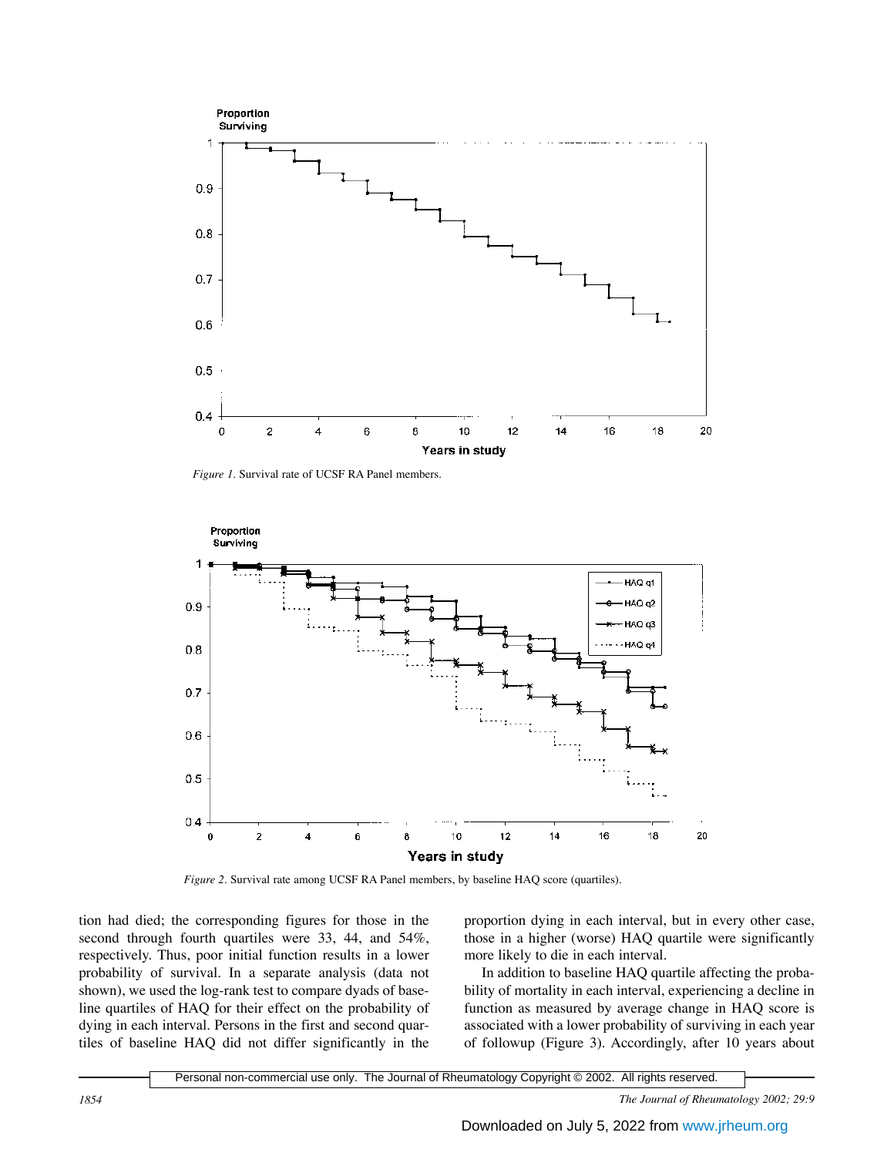

*Figure 1.* Survival rate of UCSF RA Panel members.



*Figure 2.* Survival rate among UCSF RA Panel members, by baseline HAQ score (quartiles).

tion had died; the corresponding figures for those in the second through fourth quartiles were 33, 44, and 54%, respectively. Thus, poor initial function results in a lower probability of survival. In a separate analysis (data not shown), we used the log-rank test to compare dyads of baseline quartiles of HAQ for their effect on the probability of dying in each interval. Persons in the first and second quartiles of baseline HAQ did not differ significantly in the

proportion dying in each interval, but in every other case, those in a higher (worse) HAQ quartile were significantly more likely to die in each interval.

In addition to baseline HAQ quartile affecting the probability of mortality in each interval, experiencing a decline in function as measured by average change in HAQ score is associated with a lower probability of surviving in each year of followup (Figure 3). Accordingly, after 10 years about

Personal non-commercial use only. The Journal of Rheumatology Copyright © 2002. All rights reserved.

*1854 The Journal of Rheumatology 2002; 29:9*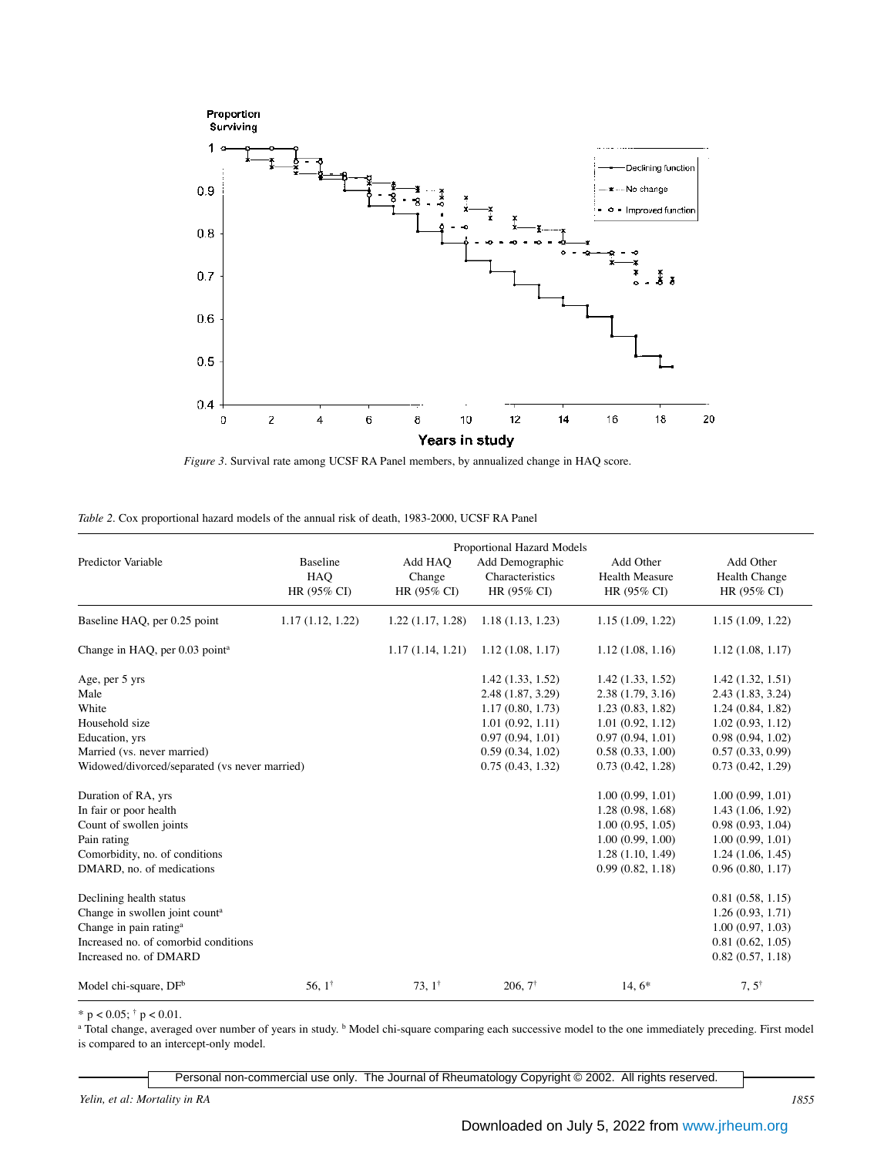



| Table 2. Cox proportional hazard models of the annual risk of death, 1983-2000, UCSF RA Panel |  |  |  |  |  |  |  |  |  |  |
|-----------------------------------------------------------------------------------------------|--|--|--|--|--|--|--|--|--|--|
|-----------------------------------------------------------------------------------------------|--|--|--|--|--|--|--|--|--|--|

| Predictor Variable                                                                                                                                                            | <b>Baseline</b><br><b>HAO</b><br>HR (95% CI) | Add HAO<br>Change<br>HR (95% CI) | <b>Proportional Hazard Models</b><br>Add Demographic<br>Characteristics<br>HR (95% CI)                                                    | Add Other<br><b>Health Measure</b><br>HR (95% CI)                                                                                        | Add Other<br>Health Change<br>HR (95% CI)                                                                                                |
|-------------------------------------------------------------------------------------------------------------------------------------------------------------------------------|----------------------------------------------|----------------------------------|-------------------------------------------------------------------------------------------------------------------------------------------|------------------------------------------------------------------------------------------------------------------------------------------|------------------------------------------------------------------------------------------------------------------------------------------|
| Baseline HAQ, per 0.25 point                                                                                                                                                  | 1.17(1.12, 1.22)                             | 1.22(1.17, 1.28)                 | 1.18(1.13, 1.23)                                                                                                                          | 1.15(1.09, 1.22)                                                                                                                         | 1.15(1.09, 1.22)                                                                                                                         |
| Change in HAQ, per 0.03 point <sup>a</sup>                                                                                                                                    |                                              | 1.17(1.14, 1.21)                 | 1.12(1.08, 1.17)                                                                                                                          | 1.12(1.08, 1.16)                                                                                                                         | 1.12(1.08, 1.17)                                                                                                                         |
| Age, per 5 yrs<br>Male<br>White<br>Household size<br>Education, yrs<br>Married (vs. never married)<br>Widowed/divorced/separated (vs never married)                           |                                              |                                  | 1.42(1.33, 1.52)<br>2.48 (1.87, 3.29)<br>1.17(0.80, 1.73)<br>1.01(0.92, 1.11)<br>0.97(0.94, 1.01)<br>0.59(0.34, 1.02)<br>0.75(0.43, 1.32) | 1.42(1.33, 1.52)<br>2.38(1.79, 3.16)<br>1.23(0.83, 1.82)<br>1.01(0.92, 1.12)<br>0.97(0.94, 1.01)<br>0.58(0.33, 1.00)<br>0.73(0.42, 1.28) | 1.42(1.32, 1.51)<br>2.43(1.83, 3.24)<br>1.24(0.84, 1.82)<br>1.02(0.93, 1.12)<br>0.98(0.94, 1.02)<br>0.57(0.33, 0.99)<br>0.73(0.42, 1.29) |
| Duration of RA, yrs<br>In fair or poor health<br>Count of swollen joints<br>Pain rating<br>Comorbidity, no. of conditions<br>DMARD, no. of medications                        |                                              |                                  |                                                                                                                                           | 1.00(0.99, 1.01)<br>1.28(0.98, 1.68)<br>1.00(0.95, 1.05)<br>1.00(0.99, 1.00)<br>1.28(1.10, 1.49)<br>0.99(0.82, 1.18)                     | 1.00(0.99, 1.01)<br>1.43(1.06, 1.92)<br>0.98(0.93, 1.04)<br>1.00(0.99, 1.01)<br>1.24(1.06, 1.45)<br>0.96(0.80, 1.17)                     |
| Declining health status<br>Change in swollen joint count <sup>a</sup><br>Change in pain rating <sup>a</sup><br>Increased no. of comorbid conditions<br>Increased no. of DMARD |                                              |                                  |                                                                                                                                           |                                                                                                                                          | 0.81(0.58, 1.15)<br>1.26(0.93, 1.71)<br>1.00(0.97, 1.03)<br>0.81(0.62, 1.05)<br>0.82(0.57, 1.18)                                         |
| Model chi-square, DF <sup>b</sup>                                                                                                                                             | 56, $1^{\dagger}$                            | $73, 1^{\dagger}$                | $206.7^{\dagger}$                                                                                                                         | $14,6*$                                                                                                                                  | $7, 5^{\dagger}$                                                                                                                         |

\*  $p < 0.05$ ; †  $p < 0.01$ .

<sup>a</sup> Total change, averaged over number of years in study. <sup>b</sup> Model chi-square comparing each successive model to the one immediately preceding. First model is compared to an intercept-only model.

Personal non-commercial use only. The Journal of Rheumatology Copyright © 2002. All rights reserved.

*Yelin, et al: Mortality in RA 1855*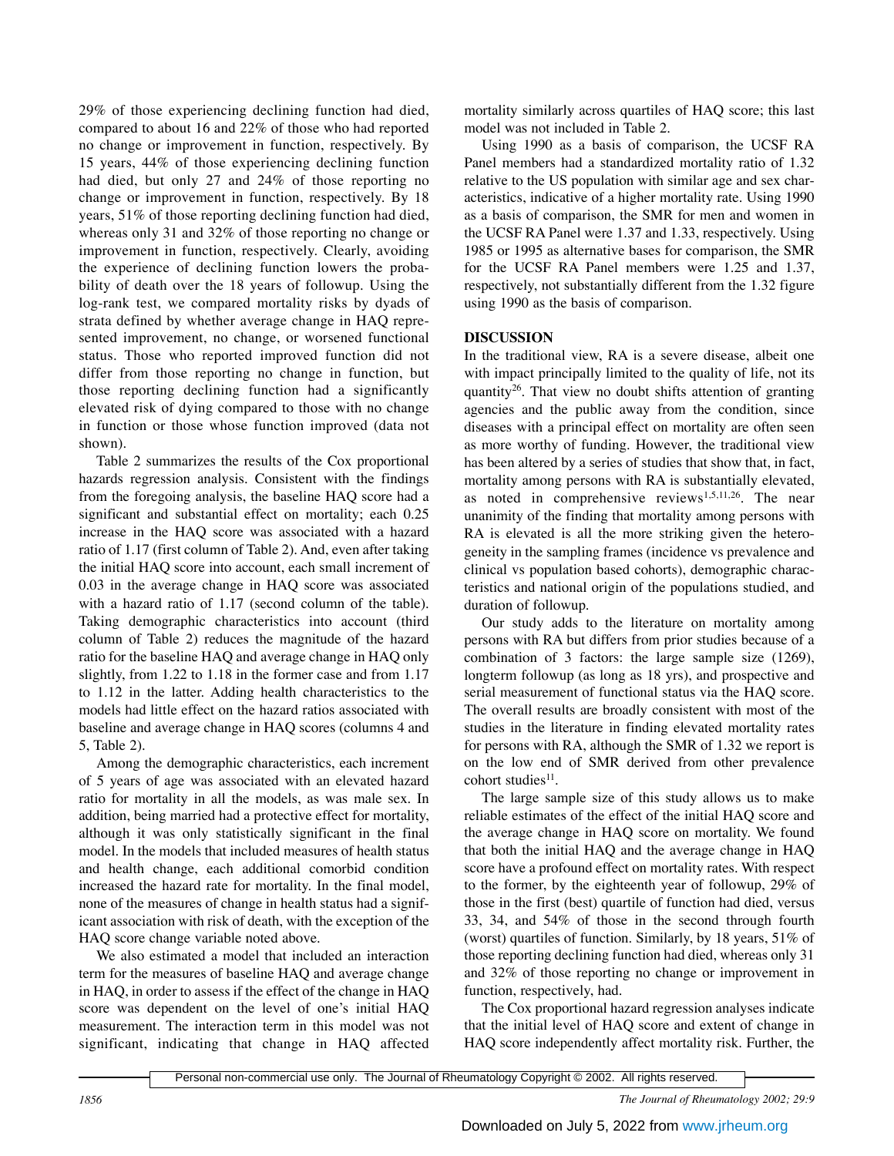29% of those experiencing declining function had died, compared to about 16 and 22% of those who had reported no change or improvement in function, respectively. By 15 years, 44% of those experiencing declining function had died, but only 27 and 24% of those reporting no change or improvement in function, respectively. By 18 years, 51% of those reporting declining function had died, whereas only 31 and 32% of those reporting no change or improvement in function, respectively. Clearly, avoiding the experience of declining function lowers the probability of death over the 18 years of followup. Using the log-rank test, we compared mortality risks by dyads of strata defined by whether average change in HAQ represented improvement, no change, or worsened functional status. Those who reported improved function did not differ from those reporting no change in function, but those reporting declining function had a significantly elevated risk of dying compared to those with no change in function or those whose function improved (data not shown).

Table 2 summarizes the results of the Cox proportional hazards regression analysis. Consistent with the findings from the foregoing analysis, the baseline HAQ score had a significant and substantial effect on mortality; each 0.25 increase in the HAQ score was associated with a hazard ratio of 1.17 (first column of Table 2). And, even after taking the initial HAQ score into account, each small increment of 0.03 in the average change in HAQ score was associated with a hazard ratio of 1.17 (second column of the table). Taking demographic characteristics into account (third column of Table 2) reduces the magnitude of the hazard ratio for the baseline HAQ and average change in HAQ only slightly, from 1.22 to 1.18 in the former case and from 1.17 to 1.12 in the latter. Adding health characteristics to the models had little effect on the hazard ratios associated with baseline and average change in HAQ scores (columns 4 and 5, Table 2).

Among the demographic characteristics, each increment of 5 years of age was associated with an elevated hazard ratio for mortality in all the models, as was male sex. In addition, being married had a protective effect for mortality, although it was only statistically significant in the final model. In the models that included measures of health status and health change, each additional comorbid condition increased the hazard rate for mortality. In the final model, none of the measures of change in health status had a significant association with risk of death, with the exception of the HAQ score change variable noted above.

We also estimated a model that included an interaction term for the measures of baseline HAQ and average change in HAQ, in order to assess if the effect of the change in HAQ score was dependent on the level of one's initial HAQ measurement. The interaction term in this model was not significant, indicating that change in HAQ affected mortality similarly across quartiles of HAQ score; this last model was not included in Table 2.

Using 1990 as a basis of comparison, the UCSF RA Panel members had a standardized mortality ratio of 1.32 relative to the US population with similar age and sex characteristics, indicative of a higher mortality rate. Using 1990 as a basis of comparison, the SMR for men and women in the UCSF RA Panel were 1.37 and 1.33, respectively. Using 1985 or 1995 as alternative bases for comparison, the SMR for the UCSF RA Panel members were 1.25 and 1.37, respectively, not substantially different from the 1.32 figure using 1990 as the basis of comparison.

# **DISCUSSION**

In the traditional view, RA is a severe disease, albeit one with impact principally limited to the quality of life, not its quantity<sup>26</sup>. That view no doubt shifts attention of granting agencies and the public away from the condition, since diseases with a principal effect on mortality are often seen as more worthy of funding. However, the traditional view has been altered by a series of studies that show that, in fact, mortality among persons with RA is substantially elevated, as noted in comprehensive reviews<sup>1,5,11,26</sup>. The near unanimity of the finding that mortality among persons with RA is elevated is all the more striking given the heterogeneity in the sampling frames (incidence vs prevalence and clinical vs population based cohorts), demographic characteristics and national origin of the populations studied, and duration of followup.

Our study adds to the literature on mortality among persons with RA but differs from prior studies because of a combination of 3 factors: the large sample size (1269), longterm followup (as long as 18 yrs), and prospective and serial measurement of functional status via the HAQ score. The overall results are broadly consistent with most of the studies in the literature in finding elevated mortality rates for persons with RA, although the SMR of 1.32 we report is on the low end of SMR derived from other prevalence cohort studies<sup>11</sup>.

The large sample size of this study allows us to make reliable estimates of the effect of the initial HAQ score and the average change in HAQ score on mortality. We found that both the initial HAQ and the average change in HAQ score have a profound effect on mortality rates. With respect to the former, by the eighteenth year of followup, 29% of those in the first (best) quartile of function had died, versus 33, 34, and 54% of those in the second through fourth (worst) quartiles of function. Similarly, by 18 years, 51% of those reporting declining function had died, whereas only 31 and 32% of those reporting no change or improvement in function, respectively, had.

The Cox proportional hazard regression analyses indicate that the initial level of HAQ score and extent of change in HAQ score independently affect mortality risk. Further, the